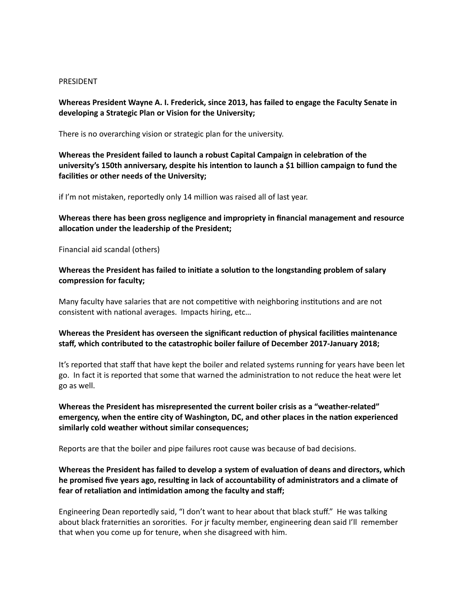#### PRESIDENT

Whereas President Wayne A. I. Frederick, since 2013, has failed to engage the Faculty Senate in developing a Strategic Plan or Vision for the University;

There is no overarching vision or strategic plan for the university.

**Whereas the President failed to launch a robust Capital Campaign in celebration of the** university's 150th anniversary, despite his intention to launch a \$1 billion campaign to fund the facilities or other needs of the University;

if I'm not mistaken, reportedly only 14 million was raised all of last year.

### Whereas there has been gross negligence and impropriety in financial management and resource allocation under the leadership of the President;

Financial aid scandal (others)

**Whereas the President has failed to initiate a solution to the longstanding problem of salary** compression for faculty;

Many faculty have salaries that are not competitive with neighboring institutions and are not consistent with national averages. Impacts hiring, etc...

### **Whereas the President has overseen the significant reduction of physical facilities maintenance** staff, which contributed to the catastrophic boiler failure of December 2017-January 2018;

It's reported that staff that have kept the boiler and related systems running for years have been let go. In fact it is reported that some that warned the administration to not reduce the heat were let go as well.

Whereas the President has misrepresented the current boiler crisis as a "weather-related" emergency, when the entire city of Washington, DC, and other places in the nation experienced similarly cold weather without similar consequences;

Reports are that the boiler and pipe failures root cause was because of bad decisions.

# Whereas the President has failed to develop a system of evaluation of deans and directors, which he promised five years ago, resulting in lack of accountability of administrators and a climate of fear of retaliation and intimidation among the faculty and staff;

Engineering Dean reportedly said, "I don't want to hear about that black stuff." He was talking about black fraternities an sororities. For jr faculty member, engineering dean said I'll remember that when you come up for tenure, when she disagreed with him.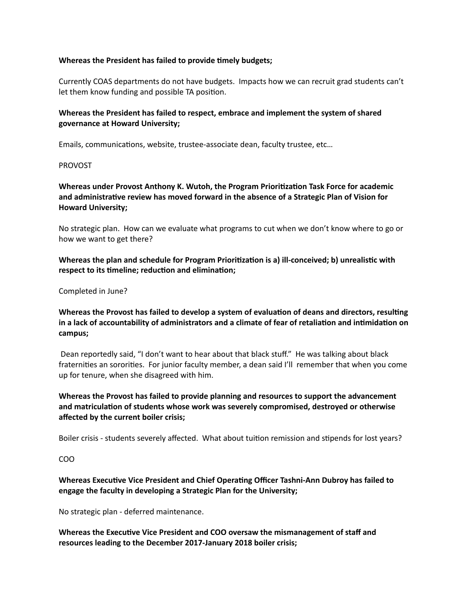### **Whereas the President has failed to provide timely budgets;**

Currently COAS departments do not have budgets. Impacts how we can recruit grad students can't let them know funding and possible TA position.

## Whereas the President has failed to respect, embrace and implement the system of shared governance at Howard University;

Emails, communications, website, trustee-associate dean, faculty trustee, etc...

### PROVOST

Whereas under Provost Anthony K. Wutoh, the Program Prioritization Task Force for academic and administrative review has moved forward in the absence of a Strategic Plan of Vision for **Howard University;** 

No strategic plan. How can we evaluate what programs to cut when we don't know where to go or how we want to get there?

Whereas the plan and schedule for Program Prioritization is a) ill-conceived; b) unrealistic with respect to its timeline; reduction and elimination;

### Completed in June?

# Whereas the Provost has failed to develop a system of evaluation of deans and directors, resulting in a lack of accountability of administrators and a climate of fear of retaliation and intimidation on **campus;**

Dean reportedly said, "I don't want to hear about that black stuff." He was talking about black fraternities an sororities. For junior faculty member, a dean said I'll remember that when you come up for tenure, when she disagreed with him.

Whereas the Provost has failed to provide planning and resources to support the advancement and matriculation of students whose work was severely compromised, destroyed or otherwise affected by the current boiler crisis;

Boiler crisis - students severely affected. What about tuition remission and stipends for lost years?

## COO

# **Whereas Executive Vice President and Chief Operating Officer Tashni-Ann Dubroy has failed to** engage the faculty in developing a Strategic Plan for the University;

No strategic plan - deferred maintenance.

**Whereas the Executive Vice President and COO oversaw the mismanagement of staff and** resources leading to the December 2017-January 2018 boiler crisis;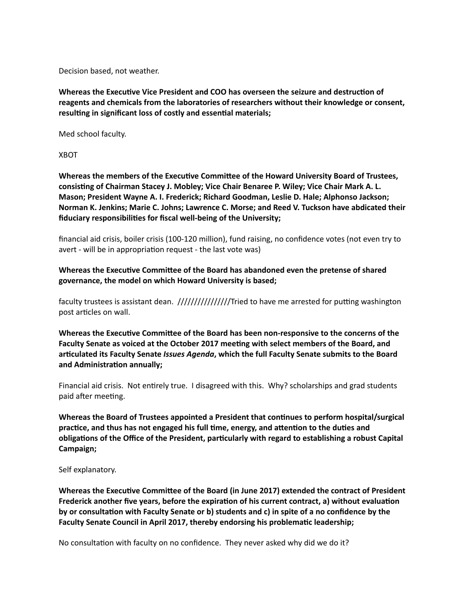Decision based, not weather.

Whereas the Executive Vice President and COO has overseen the seizure and destruction of reagents and chemicals from the laboratories of researchers without their knowledge or consent, resulting in significant loss of costly and essential materials;

Med school faculty.

XBOT

Whereas the members of the Executive Committee of the Howard University Board of Trustees, consisting of Chairman Stacey J. Mobley; Vice Chair Benaree P. Wiley; Vice Chair Mark A. L. Mason; President Wayne A. I. Frederick; Richard Goodman, Leslie D. Hale; Alphonso Jackson; Norman K. Jenkins; Marie C. Johns; Lawrence C. Morse; and Reed V. Tuckson have abdicated their fiduciary responsibilities for fiscal well-being of the University;

financial aid crisis, boiler crisis (100-120 million), fund raising, no confidence votes (not even try to avert - will be in appropriation request - the last vote was)

**Whereas the Executive Committee of the Board has abandoned even the pretense of shared** governance, the model on which Howard University is based;

faculty trustees is assistant dean. ////////////////Tried to have me arrested for pu\_ng washington post articles on wall.

Whereas the Executive Committee of the Board has been non-responsive to the concerns of the Faculty Senate as voiced at the October 2017 meeting with select members of the Board, and articulated its Faculty Senate *Issues Agenda*, which the full Faculty Senate submits to the Board and Administration annually;

Financial aid crisis. Not entirely true. I disagreed with this. Why? scholarships and grad students paid after meeting.

**Whereas the Board of Trustees appointed a President that continues to perform hospital/surgical** practice, and thus has not engaged his full time, energy, and attention to the duties and obligations of the Office of the President, particularly with regard to establishing a robust Capital **Campaign;** 

Self explanatory.

Whereas the Executive Committee of the Board (in June 2017) extended the contract of President Frederick another five years, before the expiration of his current contract, a) without evaluation by or consultation with Faculty Senate or b) students and c) in spite of a no confidence by the Faculty Senate Council in April 2017, thereby endorsing his problematic leadership;

No consultation with faculty on no confidence. They never asked why did we do it?